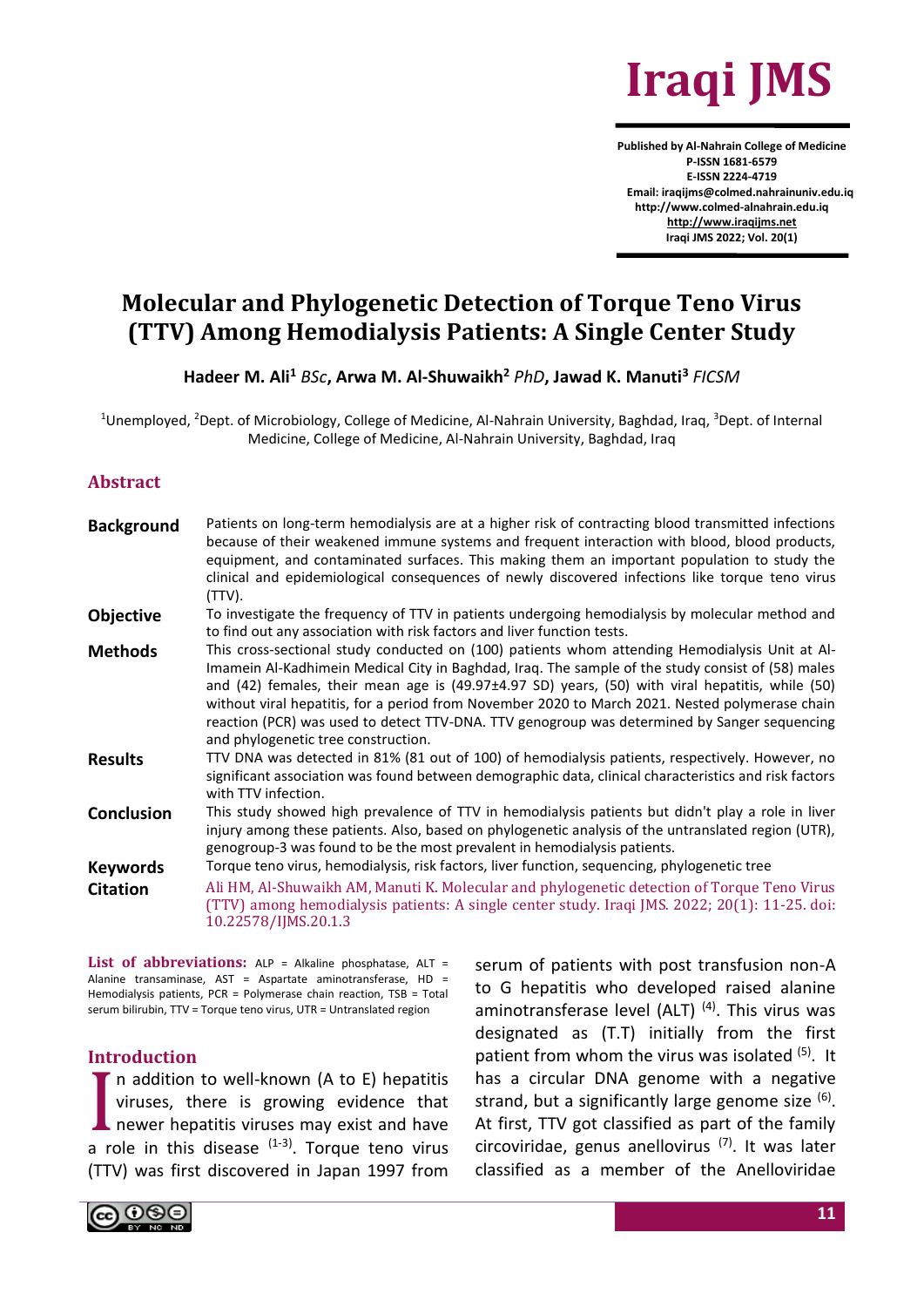

**Published by Al-Nahrain College of Medicine P-ISSN 1681-6579 E-ISSN 2224-4719 Email: iraqijms@colmed.nahrainuniv.edu.iq http://www.colmed-alnahrain.edu.iq [http://www.iraqijms.net](http://www.iraqijms.net/) Iraqi JMS 2022; Vol. 20(1)**

# **Molecular and Phylogenetic Detection of Torque Teno Virus (TTV) Among Hemodialysis Patients: A Single Center Study**

**Hadeer M. Ali<sup>1</sup>** *BSc***, Arwa M. Al-Shuwaikh<sup>2</sup>** *PhD***, Jawad K. Manuti<sup>3</sup>** *FICSM*

<sup>1</sup>Unemployed, <sup>2</sup>Dept. of Microbiology, College of Medicine, Al-Nahrain University, Baghdad, Iraq, <sup>3</sup>Dept. of Internal Medicine, College of Medicine, Al-Nahrain University, Baghdad, Iraq

#### **Abstract**

| <b>Background</b> | Patients on long-term hemodialysis are at a higher risk of contracting blood transmitted infections<br>because of their weakened immune systems and frequent interaction with blood, blood products,<br>equipment, and contaminated surfaces. This making them an important population to study the<br>clinical and epidemiological consequences of newly discovered infections like torque teno virus<br>(TTV).                                                                                                                                  |
|-------------------|---------------------------------------------------------------------------------------------------------------------------------------------------------------------------------------------------------------------------------------------------------------------------------------------------------------------------------------------------------------------------------------------------------------------------------------------------------------------------------------------------------------------------------------------------|
| <b>Objective</b>  | To investigate the frequency of TTV in patients undergoing hemodialysis by molecular method and<br>to find out any association with risk factors and liver function tests.                                                                                                                                                                                                                                                                                                                                                                        |
| <b>Methods</b>    | This cross-sectional study conducted on (100) patients whom attending Hemodialysis Unit at Al-<br>Imamein Al-Kadhimein Medical City in Baghdad, Iraq. The sample of the study consist of (58) males<br>and (42) females, their mean age is (49.97±4.97 SD) years, (50) with viral hepatitis, while (50)<br>without viral hepatitis, for a period from November 2020 to March 2021. Nested polymerase chain<br>reaction (PCR) was used to detect TTV-DNA. TTV genogroup was determined by Sanger sequencing<br>and phylogenetic tree construction. |
| <b>Results</b>    | TTV DNA was detected in 81% (81 out of 100) of hemodialysis patients, respectively. However, no<br>significant association was found between demographic data, clinical characteristics and risk factors<br>with TTV infection.                                                                                                                                                                                                                                                                                                                   |
| <b>Conclusion</b> | This study showed high prevalence of TTV in hemodialysis patients but didn't play a role in liver<br>injury among these patients. Also, based on phylogenetic analysis of the untranslated region (UTR),<br>genogroup-3 was found to be the most prevalent in hemodialysis patients.                                                                                                                                                                                                                                                              |
| <b>Keywords</b>   | Torque teno virus, hemodialysis, risk factors, liver function, sequencing, phylogenetic tree                                                                                                                                                                                                                                                                                                                                                                                                                                                      |
| <b>Citation</b>   | Ali HM, Al-Shuwaikh AM, Manuti K. Molecular and phylogenetic detection of Torque Teno Virus<br>(TTV) among hemodialysis patients: A single center study. Iraqi JMS. 2022; 20(1): 11-25. doi:<br>10.22578/IJMS.20.1.3                                                                                                                                                                                                                                                                                                                              |
|                   |                                                                                                                                                                                                                                                                                                                                                                                                                                                                                                                                                   |

List of abbreviations: ALP = Alkaline phosphatase. ALT = Alanine transaminase, AST = Aspartate aminotransferase, HD = Hemodialysis patients, PCR = Polymerase chain reaction, TSB = Total serum bilirubin, TTV = Torque teno virus, UTR = Untranslated region

#### **Introduction**

n addition to well-known (A to E) hepatitis viruses, there is growing evidence that newer hepatitis viruses may exist and have In addition to well-known (A to E) hepatitis<br>viruses, there is growing evidence that<br>newer hepatitis viruses may exist and have<br>a role in this disease  $(1-3)$ . Torque teno virus (TTV) was first discovered in Japan 1997 from

serum of patients with post transfusion non-A to G hepatitis who developed raised alanine aminotransferase level (ALT)  $(4)$ . This virus was designated as (T.T) initially from the first patient from whom the virus was isolated (5). It has a circular DNA genome with a negative strand, but a significantly large genome size <sup>(6)</sup>. At first, TTV got classified as part of the family circoviridae, genus anellovirus  $(7)$ . It was later classified as a member of the Anelloviridae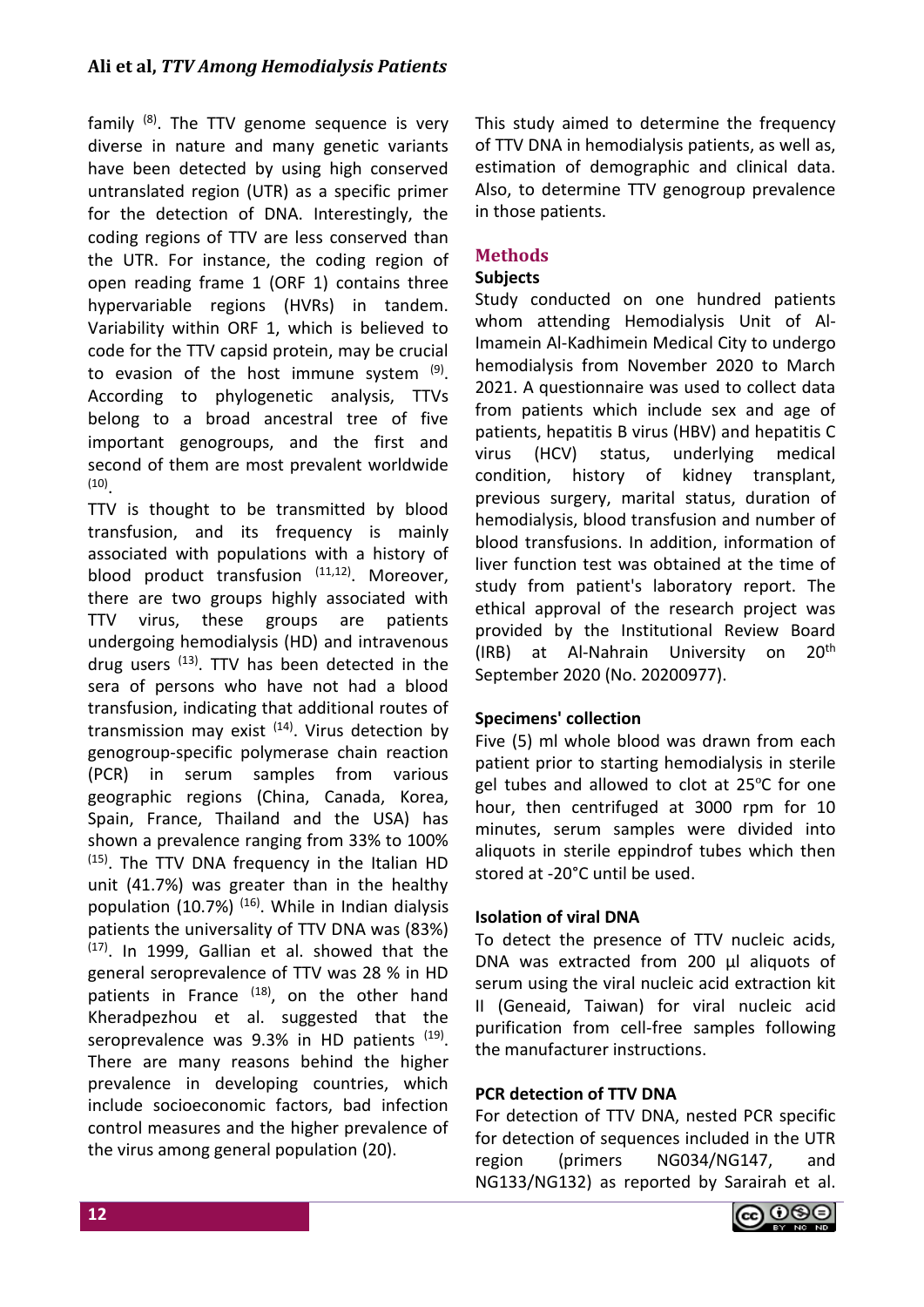family  $(8)$ . The TTV genome sequence is very diverse in nature and many genetic variants have been detected by using high conserved untranslated region (UTR) as a specific primer for the detection of DNA. Interestingly, the coding regions of TTV are less conserved than the UTR. For instance, the coding region of open reading frame 1 (ORF 1) contains three hypervariable regions (HVRs) in tandem. Variability within ORF 1, which is believed to code for the TTV capsid protein, may be crucial to evasion of the host immune system <sup>(9)</sup>. According to phylogenetic analysis, TTVs belong to a broad ancestral tree of five important genogroups, and the first and second of them are most prevalent worldwide (10) .

TTV is thought to be transmitted by blood transfusion, and its frequency is mainly associated with populations with a history of blood product transfusion  $(11,12)$ . Moreover, there are two groups highly associated with TTV virus, these groups are patients undergoing hemodialysis (HD) and intravenous drug users <sup>(13)</sup>. TTV has been detected in the sera of persons who have not had a blood transfusion, indicating that additional routes of transmission may exist  $(14)$ . Virus detection by genogroup-specific polymerase chain reaction (PCR) in serum samples from various geographic regions (China, Canada, Korea, Spain, France, Thailand and the USA) has shown a prevalence ranging from 33% to 100%  $(15)$ . The TTV DNA frequency in the Italian HD unit (41.7%) was greater than in the healthy population (10.7%)  $(16)$ . While in Indian dialysis patients the universality of TTV DNA was (83%) (17). In 1999, Gallian et al. showed that the general seroprevalence of TTV was 28 % in HD patients in France (18), on the other hand Kheradpezhou et al. suggested that the seroprevalence was 9.3% in HD patients <sup>(19)</sup>. There are many reasons behind the higher prevalence in developing countries, which include socioeconomic factors, bad infection control measures and the higher prevalence of the virus among general population (20).

This study aimed to determine the frequency of TTV DNA in hemodialysis patients, as well as, estimation of demographic and clinical data. Also, to determine TTV genogroup prevalence in those patients.

# **Methods**

# **Subjects**

Study conducted on one hundred patients whom attending Hemodialysis Unit of Al-Imamein Al-Kadhimein Medical City to undergo hemodialysis from November 2020 to March 2021. A questionnaire was used to collect data from patients which include sex and age of patients, hepatitis B virus (HBV) and hepatitis C virus (HCV) status, underlying medical condition, history of kidney transplant, previous surgery, marital status, duration of hemodialysis, blood transfusion and number of blood transfusions. In addition, information of liver function test was obtained at the time of study from patient's laboratory report. The ethical approval of the research project was provided by the Institutional Review Board (IRB) at Al-Nahrain University on 20th September 2020 (No. 20200977).

# **Specimens' collection**

Five (5) ml whole blood was drawn from each patient prior to starting hemodialysis in sterile gel tubes and allowed to clot at 25ºC for one hour, then centrifuged at 3000 rpm for 10 minutes, serum samples were divided into aliquots in sterile eppindrof tubes which then stored at -20°C until be used.

## **Isolation of viral DNA**

To detect the presence of TTV nucleic acids, DNA was extracted from 200 ul aliquots of serum using the viral nucleic acid extraction kit II (Geneaid, Taiwan) for viral nucleic acid purification from cell-free samples following the manufacturer instructions.

## **PCR detection of TTV DNA**

For detection of TTV DNA, nested PCR specific for detection of sequences included in the UTR region (primers NG034/NG147, and NG133/NG132) as reported by Sarairah et al.

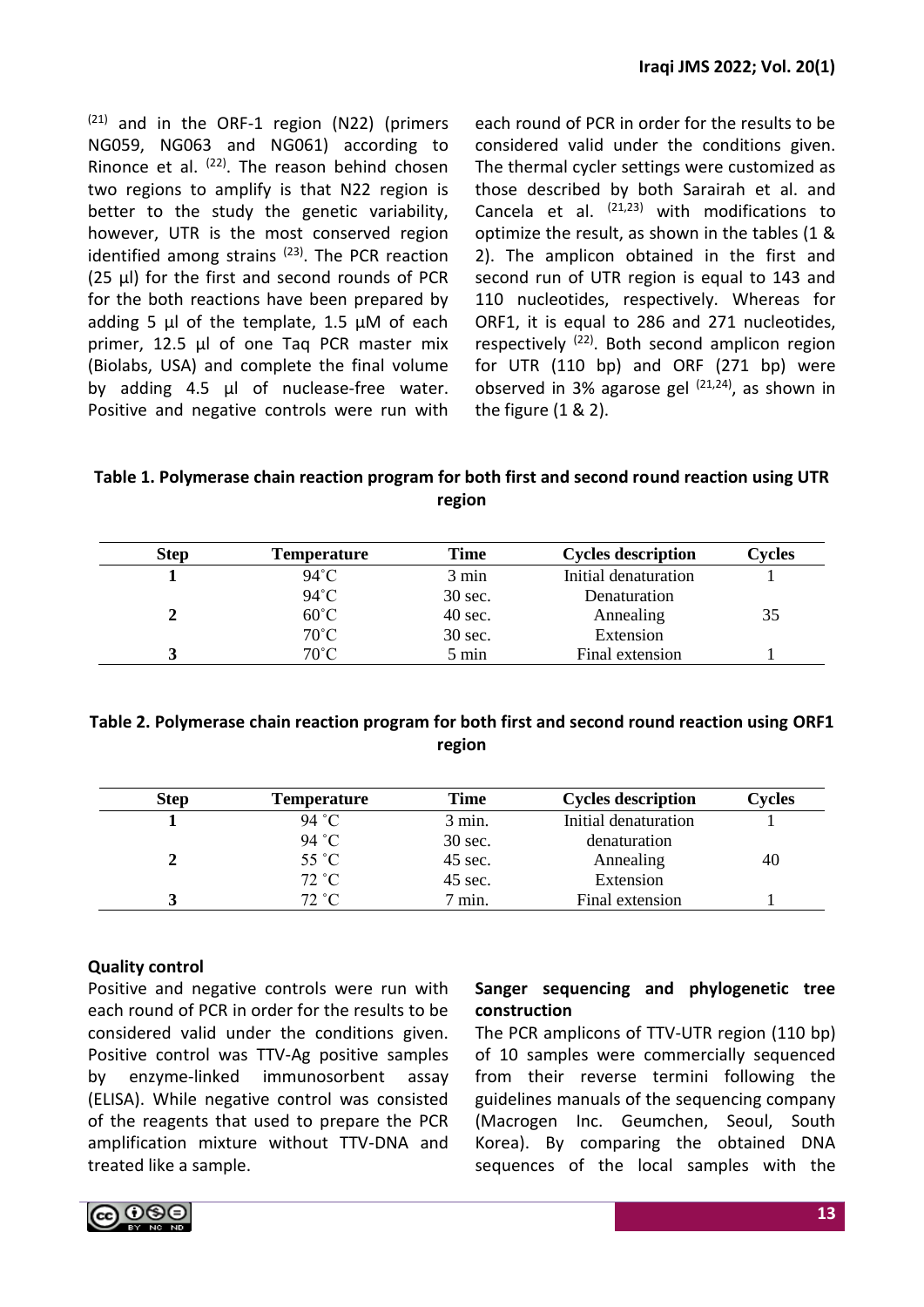$(21)$  and in the ORF-1 region (N22) (primers NG059, NG063 and NG061) according to Rinonce et al.  $(22)$ . The reason behind chosen two regions to amplify is that N22 region is better to the study the genetic variability, however, UTR is the most conserved region identified among strains  $(23)$ . The PCR reaction (25 μl) for the first and second rounds of PCR for the both reactions have been prepared by adding 5 μl of the template, 1.5 μM of each primer, 12.5 μl of one Taq PCR master mix (Biolabs, USA) and complete the final volume by adding 4.5 µl of nuclease-free water. Positive and negative controls were run with each round of PCR in order for the results to be considered valid under the conditions given. The thermal cycler settings were customized as those described by both Sarairah et al. and Cancela et al.  $(21,23)$  with modifications to optimize the result, as shown in the tables (1 & 2). The amplicon obtained in the first and second run of UTR region is equal to 143 and 110 nucleotides, respectively. Whereas for ORF1, it is equal to 286 and 271 nucleotides, respectively  $(22)$ . Both second amplicon region for UTR (110 bp) and ORF (271 bp) were observed in 3% agarose gel  $(21,24)$ , as shown in the figure (1 & 2).

**Table 1. Polymerase chain reaction program for both first and second round reaction using UTR region**

| <b>Step</b> | <b>Temperature</b> | Time    | <b>Cycles description</b> | <b>Cycles</b> |
|-------------|--------------------|---------|---------------------------|---------------|
|             | $94^{\circ}$ C     | 3 min   | Initial denaturation      |               |
|             | $94^{\circ}$ C     | 30 sec. | Denaturation              |               |
|             | $60^{\circ}$ C     | 40 sec. | Annealing                 | 35            |
|             | $70^{\circ}$ C     | 30 sec. | Extension                 |               |
|             | $70^{\circ}$ C     | 5 min   | Final extension           |               |

# **Table 2. Polymerase chain reaction program for both first and second round reaction using ORF1 region**

| <b>Step</b> | Temperature    | <b>Time</b>      | <b>Cycles description</b> | <b>Cycles</b> |
|-------------|----------------|------------------|---------------------------|---------------|
|             | 94 °C          | $3$ min.         | Initial denaturation      |               |
|             | 94 °C          | 30 sec.          | denaturation              |               |
|             | $55^{\circ}$ C | 45 sec.          | Annealing                 | 40            |
|             | 72 °C          | 45 sec.          | Extension                 |               |
|             | 72 °C          | $7 \text{ min.}$ | Final extension           |               |

# **Quality control**

Positive and negative controls were run with each round of PCR in order for the results to be considered valid under the conditions given. Positive control was TTV-Ag positive samples by enzyme-linked immunosorbent assay (ELISA). While negative control was consisted of the reagents that used to prepare the PCR amplification mixture without TTV-DNA and treated like a sample.

# **Sanger sequencing and phylogenetic tree construction**

The PCR amplicons of TTV-UTR region (110 bp) of 10 samples were commercially sequenced from their reverse termini following the guidelines manuals of the sequencing company (Macrogen Inc. Geumchen, Seoul, South Korea). By comparing the obtained DNA sequences of the local samples with the

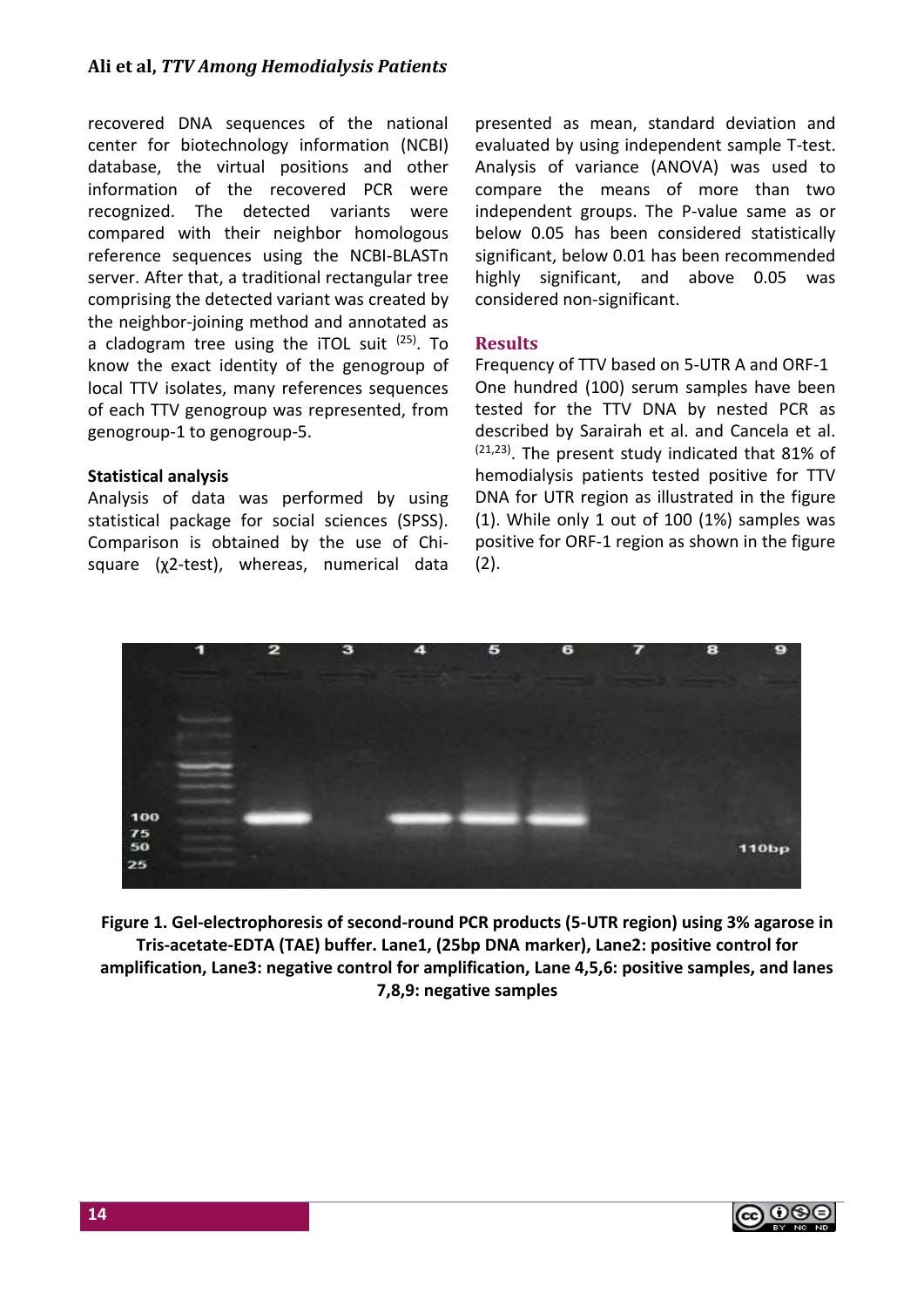recovered DNA sequences of the national center for biotechnology information (NCBI) database, the virtual positions and other information of the recovered PCR were recognized. The detected variants were compared with their neighbor homologous reference sequences using the NCBI-BLASTn server. After that, a traditional rectangular tree comprising the detected variant was created by the neighbor-joining method and annotated as a cladogram tree using the iTOL suit <sup>(25)</sup>. To know the exact identity of the genogroup of local TTV isolates, many references sequences of each TTV genogroup was represented, from genogroup-1 to genogroup-5.

## **Statistical analysis**

Analysis of data was performed by using statistical package for social sciences (SPSS). Comparison is obtained by the use of Chisquare (χ2-test), whereas, numerical data presented as mean, standard deviation and evaluated by using independent sample T-test. Analysis of variance (ANOVA) was used to compare the means of more than two independent groups. The P-value same as or below 0.05 has been considered statistically significant, below 0.01 has been recommended highly significant, and above 0.05 was considered non-significant.

# **Results**

Frequency of TTV based on 5-UTR A and ORF-1 One hundred (100) serum samples have been tested for the TTV DNA by nested PCR as described by Sarairah et al. and Cancela et al. (21,23). The present study indicated that 81% of hemodialysis patients tested positive for TTV DNA for UTR region as illustrated in the figure (1). While only 1 out of 100 (1%) samples was positive for ORF-1 region as shown in the figure  $(2).$ 



**Figure 1. Gel-electrophoresis of second-round PCR products (5-UTR region) using 3% agarose in Tris-acetate-EDTA (TAE) buffer. Lane1, (25bp DNA marker), Lane2: positive control for amplification, Lane3: negative control for amplification, Lane 4,5,6: positive samples, and lanes 7,8,9: negative samples**

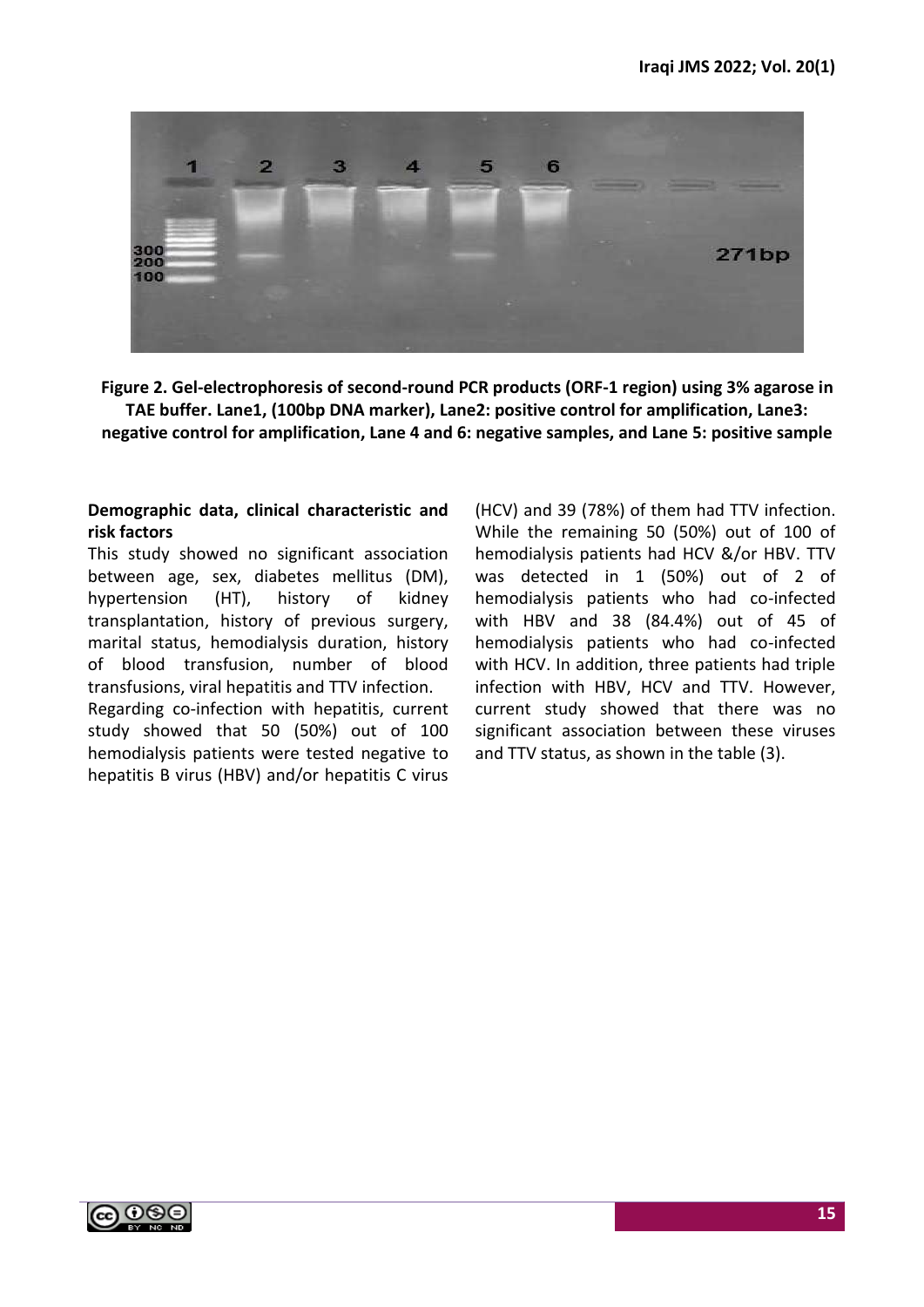

**Figure 2. Gel-electrophoresis of second-round PCR products (ORF-1 region) using 3% agarose in TAE buffer. Lane1, (100bp DNA marker), Lane2: positive control for amplification, Lane3: negative control for amplification, Lane 4 and 6: negative samples, and Lane 5: positive sample**

# **Demographic data, clinical characteristic and risk factors**

This study showed no significant association between age, sex, diabetes mellitus (DM), hypertension (HT), history of kidney transplantation, history of previous surgery, marital status, hemodialysis duration, history of blood transfusion, number of blood transfusions, viral hepatitis and TTV infection.

Regarding co-infection with hepatitis, current study showed that 50 (50%) out of 100 hemodialysis patients were tested negative to hepatitis B virus (HBV) and/or hepatitis C virus (HCV) and 39 (78%) of them had TTV infection. While the remaining 50 (50%) out of 100 of hemodialysis patients had HCV &/or HBV. TTV was detected in 1 (50%) out of 2 of hemodialysis patients who had co-infected with HBV and 38 (84.4%) out of 45 of hemodialysis patients who had co-infected with HCV. In addition, three patients had triple infection with HBV, HCV and TTV. However, current study showed that there was no significant association between these viruses and TTV status, as shown in the table (3).

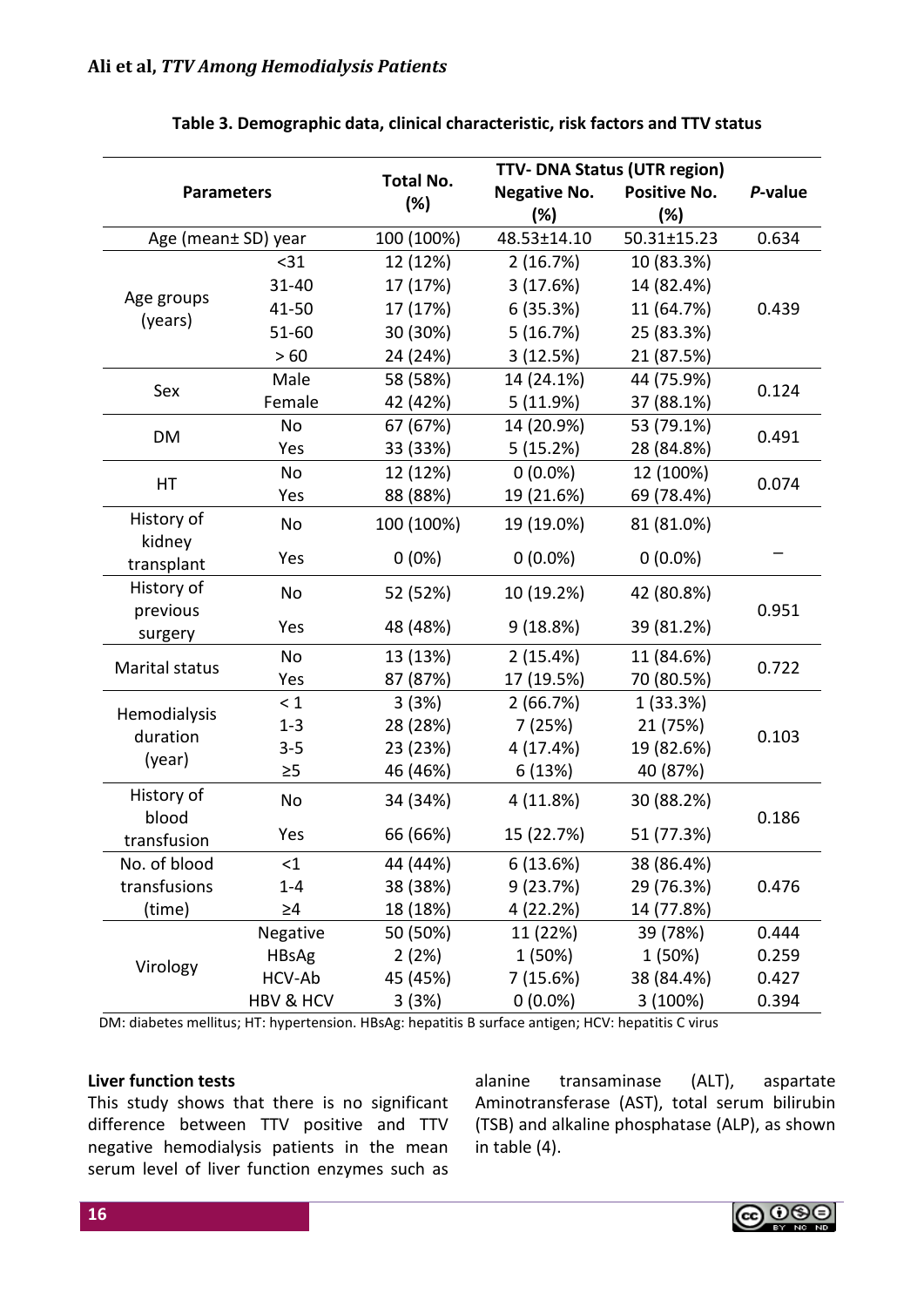| <b>Parameters</b>      |              |                         | <b>TTV-DNA Status (UTR region)</b> |                            |         |
|------------------------|--------------|-------------------------|------------------------------------|----------------------------|---------|
|                        |              | <b>Total No.</b><br>(%) | <b>Negative No.</b><br>(%)         | <b>Positive No.</b><br>(%) | P-value |
| Age (mean± SD) year    |              | 100 (100%)              | 48.53±14.10                        | 50.31±15.23                | 0.634   |
|                        | $31$         | 12 (12%)                | 2(16.7%)                           | 10 (83.3%)                 |         |
|                        | 31-40        | 17 (17%)                | 3(17.6%)                           | 14 (82.4%)                 |         |
| Age groups             | 41-50        | 17 (17%)                | 6(35.3%)                           | 11 (64.7%)                 | 0.439   |
| (years)                | $51 - 60$    | 30 (30%)                | 5(16.7%)                           | 25 (83.3%)                 |         |
|                        | >60          | 24 (24%)                | 3(12.5%)                           | 21 (87.5%)                 |         |
|                        | Male         | 58 (58%)                | 14 (24.1%)                         | 44 (75.9%)                 |         |
| Sex                    | Female       | 42 (42%)                | 5(11.9%)                           | 37 (88.1%)                 | 0.124   |
|                        | No           | 67 (67%)                | 14 (20.9%)                         | 53 (79.1%)                 |         |
| DM                     | Yes          | 33 (33%)                | 5(15.2%)                           | 28 (84.8%)                 | 0.491   |
| НT                     | No           | 12 (12%)                | $0(0.0\%)$                         | 12 (100%)                  | 0.074   |
|                        | Yes          | 88 (88%)                | 19 (21.6%)                         | 69 (78.4%)                 |         |
| History of<br>kidney   | No           | 100 (100%)              | 19 (19.0%)                         | 81 (81.0%)                 |         |
| transplant             | Yes          | $0(0\%)$                | $0(0.0\%)$                         | $0(0.0\%)$                 |         |
| History of<br>previous | No           | 52 (52%)                | 10 (19.2%)                         | 42 (80.8%)                 | 0.951   |
| surgery                | Yes          | 48 (48%)                | 9(18.8%)                           | 39 (81.2%)                 |         |
| Marital status         | No           | 13 (13%)                | 2(15.4%)                           | 11 (84.6%)                 | 0.722   |
|                        | Yes          | 87 (87%)                | 17 (19.5%)                         | 70 (80.5%)                 |         |
| Hemodialysis           | $\leq 1$     | 3(3%)                   | 2(66.7%)                           | 1(33.3%)                   |         |
| duration               | $1 - 3$      | 28 (28%)                | 7(25%)                             | 21 (75%)                   | 0.103   |
| (year)                 | $3 - 5$      | 23 (23%)                | 4 (17.4%)                          | 19 (82.6%)                 |         |
|                        | $\geq 5$     | 46 (46%)                | 6(13%)                             | 40 (87%)                   |         |
| History of<br>blood    | No           | 34 (34%)                | 4 (11.8%)                          | 30 (88.2%)                 | 0.186   |
| transfusion            | Yes          | 66 (66%)                | 15 (22.7%)                         | 51 (77.3%)                 |         |
| No. of blood           | <1           | 44 (44%)                | 6(13.6%)                           | 38 (86.4%)                 |         |
| transfusions           | $1 - 4$      | 38 (38%)                | 9(23.7%)                           | 29 (76.3%)                 | 0.476   |
| (time)                 | $\geq 4$     | 18 (18%)                | 4 (22.2%)                          | 14 (77.8%)                 |         |
|                        | Negative     | 50 (50%)                | 11 (22%)                           | 39 (78%)                   | 0.444   |
| Virology               | <b>HBsAg</b> | 2(2%)                   | 1 (50%)                            | 1 (50%)                    | 0.259   |
|                        | HCV-Ab       | 45 (45%)                | 7 (15.6%)                          | 38 (84.4%)                 | 0.427   |
|                        | HBV & HCV    | 3(3%)                   | $0(0.0\%)$                         | 3 (100%)                   | 0.394   |

#### **Table 3. Demographic data, clinical characteristic, risk factors and TTV status**

DM: diabetes mellitus; HT: hypertension. HBsAg: hepatitis B surface antigen; HCV: hepatitis C virus

#### **Liver function tests**

This study shows that there is no significant difference between TTV positive and TTV negative hemodialysis patients in the mean serum level of liver function enzymes such as alanine transaminase (ALT), aspartate Aminotransferase (AST), total serum bilirubin (TSB) and alkaline phosphatase (ALP), as shown in table (4).

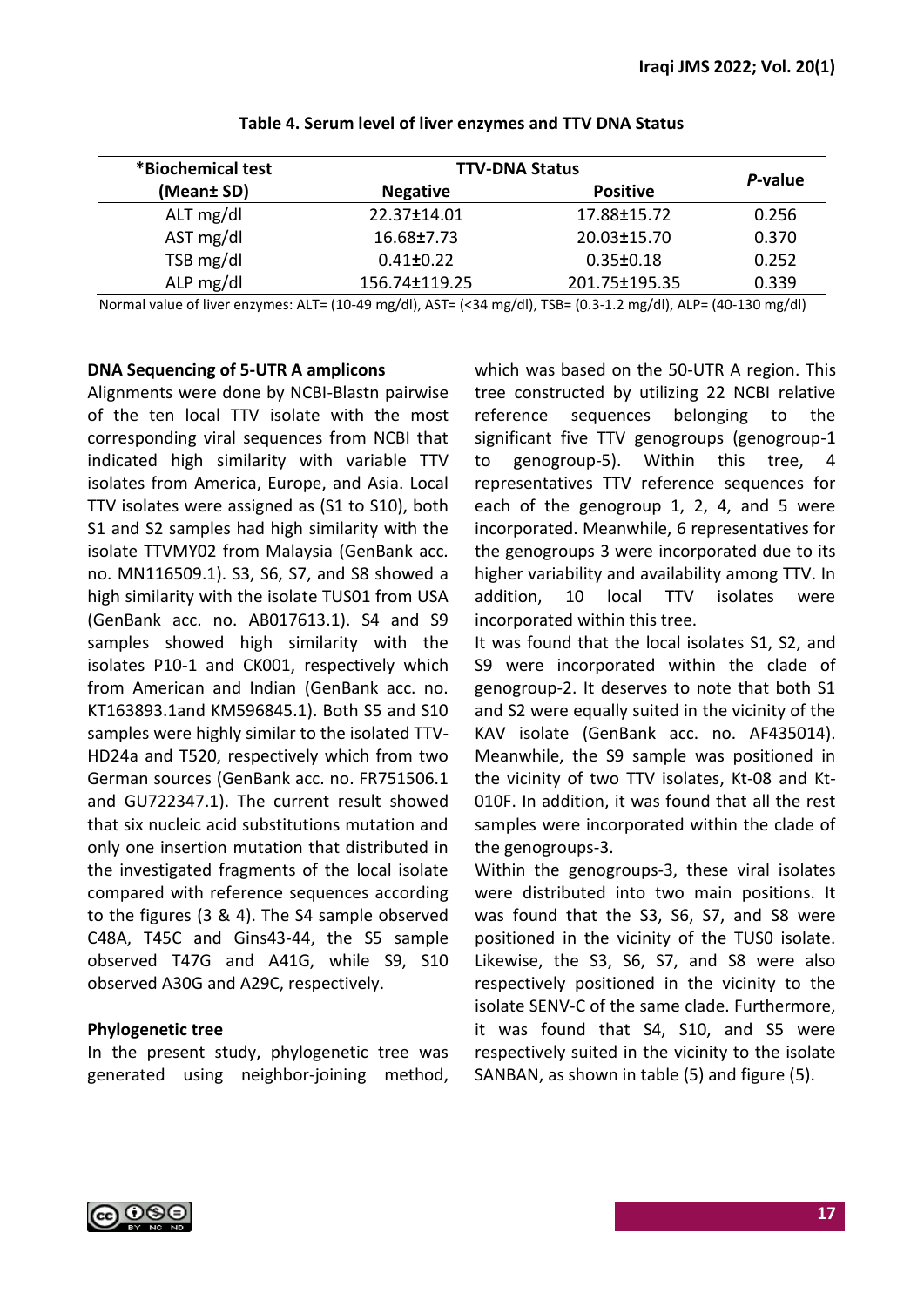| *Biochemical test | <b>TTV-DNA Status</b> | P-value         |       |  |
|-------------------|-----------------------|-----------------|-------|--|
| (Mean± SD)        | <b>Negative</b>       | <b>Positive</b> |       |  |
| ALT mg/dl         | 22.37±14.01           | 17.88±15.72     | 0.256 |  |
| AST mg/dl         | 16.68±7.73            | 20.03±15.70     | 0.370 |  |
| TSB mg/dl         | $0.41 \pm 0.22$       | $0.35 \pm 0.18$ | 0.252 |  |
| ALP mg/dl         | 156.74±119.25         | 201.75±195.35   | 0.339 |  |

**Table 4. Serum level of liver enzymes and TTV DNA Status**

Normal value of liver enzymes: ALT= (10-49 mg/dl), AST= (<34 mg/dl), TSB= (0.3-1.2 mg/dl), ALP= (40-130 mg/dl)

#### **DNA Sequencing of 5-UTR A amplicons**

Alignments were done by NCBI-Blastn pairwise of the ten local TTV isolate with the most corresponding viral sequences from NCBI that indicated high similarity with variable TTV isolates from America, Europe, and Asia. Local TTV isolates were assigned as (S1 to S10), both S1 and S2 samples had high similarity with the isolate TTVMY02 from Malaysia (GenBank acc. no. MN116509.1). S3, S6, S7, and S8 showed a high similarity with the isolate TUS01 from USA (GenBank acc. no. AB017613.1). S4 and S9 samples showed high similarity with the isolates P10-1 and CK001, respectively which from American and Indian (GenBank acc. no. KT163893.1and KM596845.1). Both S5 and S10 samples were highly similar to the isolated TTV-HD24a and T520, respectively which from two German sources (GenBank acc. no. FR751506.1 and GU722347.1). The current result showed that six nucleic acid substitutions mutation and only one insertion mutation that distributed in the investigated fragments of the local isolate compared with reference sequences according to the figures (3 & 4). The S4 sample observed C48A, T45C and Gins43-44, the S5 sample observed T47G and A41G, while S9, S10 observed A30G and A29C, respectively.

# **Phylogenetic tree**

In the present study, phylogenetic tree was generated using neighbor-joining method, which was based on the 50-UTR A region. This tree constructed by utilizing 22 NCBI relative reference sequences belonging to the significant five TTV genogroups (genogroup-1 to genogroup-5). Within this tree, representatives TTV reference sequences for each of the genogroup 1, 2, 4, and 5 were incorporated. Meanwhile, 6 representatives for the genogroups 3 were incorporated due to its higher variability and availability among TTV. In addition, 10 local TTV isolates were incorporated within this tree.

It was found that the local isolates S1, S2, and S9 were incorporated within the clade of genogroup-2. It deserves to note that both S1 and S2 were equally suited in the vicinity of the KAV isolate (GenBank acc. no. AF435014). Meanwhile, the S9 sample was positioned in the vicinity of two TTV isolates, Kt-08 and Kt-010F. In addition, it was found that all the rest samples were incorporated within the clade of the genogroups-3.

Within the genogroups-3, these viral isolates were distributed into two main positions. It was found that the S3, S6, S7, and S8 were positioned in the vicinity of the TUS0 isolate. Likewise, the S3, S6, S7, and S8 were also respectively positioned in the vicinity to the isolate SENV-C of the same clade. Furthermore, it was found that S4, S10, and S5 were respectively suited in the vicinity to the isolate SANBAN, as shown in table (5) and figure (5).

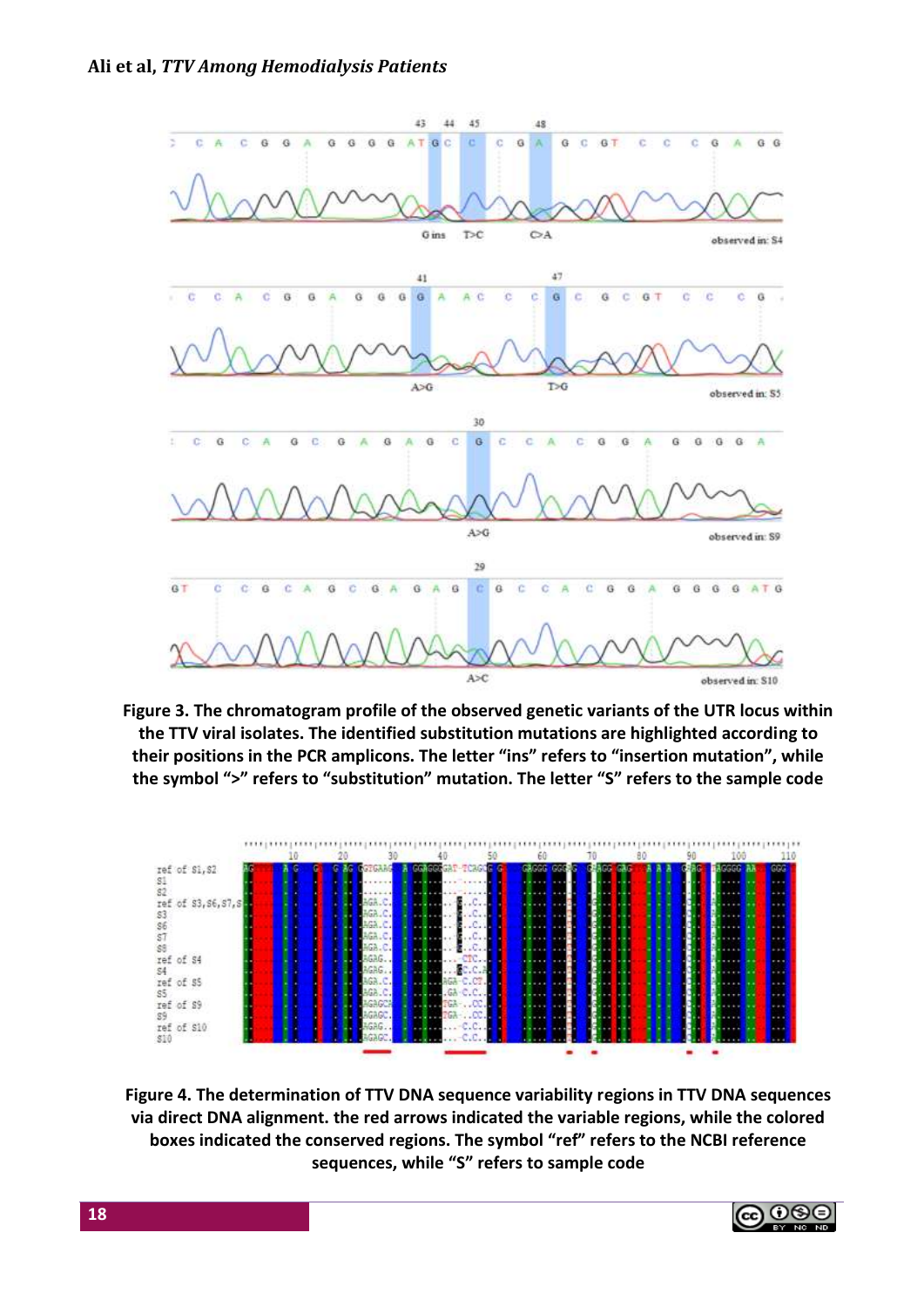

**Figure 3. The chromatogram profile of the observed genetic variants of the UTR locus within the TTV viral isolates. The identified substitution mutations are highlighted according to their positions in the PCR amplicons. The letter "ins" refers to "insertion mutation", while the symbol ">" refers to "substitution" mutation. The letter "S" refers to the sample code**



**Figure 4. The determination of TTV DNA sequence variability regions in TTV DNA sequences via direct DNA alignment. the red arrows indicated the variable regions, while the colored boxes indicated the conserved regions. The symbol "ref" refers to the NCBI reference sequences, while "S" refers to sample code**

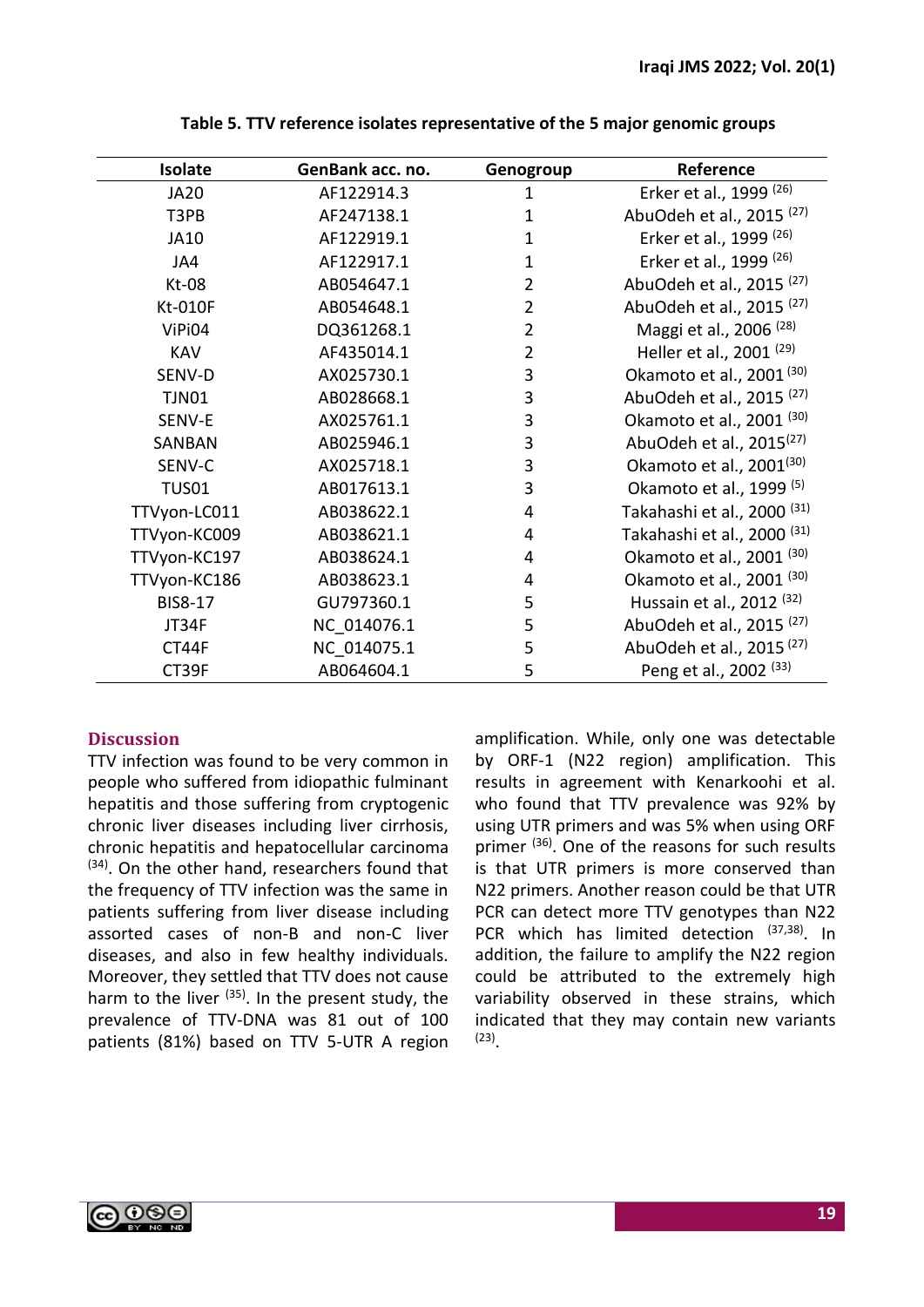| Isolate        | GenBank acc. no. | Genogroup      | Reference                              |
|----------------|------------------|----------------|----------------------------------------|
| <b>JA20</b>    | AF122914.3       | 1              | Erker et al., 1999 <sup>(26)</sup>     |
| T3PB           | AF247138.1       | 1              | AbuOdeh et al., 2015 <sup>(27)</sup>   |
| JA10           | AF122919.1       | $\mathbf{1}$   | Erker et al., 1999 <sup>(26)</sup>     |
| JA4            | AF122917.1       | $\mathbf{1}$   | Erker et al., 1999 <sup>(26)</sup>     |
| $Kt-08$        | AB054647.1       | $\overline{2}$ | AbuOdeh et al., 2015 <sup>(27)</sup>   |
| Kt-010F        | AB054648.1       | $\overline{2}$ | AbuOdeh et al., 2015 <sup>(27)</sup>   |
| ViPi04         | DQ361268.1       | $\overline{2}$ | Maggi et al., 2006 <sup>(28)</sup>     |
| <b>KAV</b>     | AF435014.1       | $\overline{2}$ | Heller et al., 2001 <sup>(29)</sup>    |
| SENV-D         | AX025730.1       | 3              | Okamoto et al., 2001 <sup>(30)</sup>   |
| <b>TJN01</b>   | AB028668.1       | 3              | AbuOdeh et al., 2015 <sup>(27)</sup>   |
| SENV-E         | AX025761.1       | 3              | Okamoto et al., 2001 <sup>(30)</sup>   |
| SANBAN         | AB025946.1       | 3              | AbuOdeh et al., 2015 <sup>(27)</sup>   |
| SENV-C         | AX025718.1       | 3              | Okamoto et al., 2001 <sup>(30)</sup>   |
| <b>TUS01</b>   | AB017613.1       | 3              | Okamoto et al., 1999 <sup>(5)</sup>    |
| TTVyon-LC011   | AB038622.1       | 4              | Takahashi et al., 2000 <sup>(31)</sup> |
| TTVyon-KC009   | AB038621.1       | 4              | Takahashi et al., 2000 <sup>(31)</sup> |
| TTVyon-KC197   | AB038624.1       | 4              | Okamoto et al., 2001 <sup>(30)</sup>   |
| TTVyon-KC186   | AB038623.1       | 4              | Okamoto et al., 2001 <sup>(30)</sup>   |
| <b>BIS8-17</b> | GU797360.1       | 5              | Hussain et al., 2012 <sup>(32)</sup>   |
| JT34F          | NC 014076.1      | 5              | AbuOdeh et al., 2015 <sup>(27)</sup>   |
| CT44F          | NC 014075.1      | 5              | AbuOdeh et al., 2015 <sup>(27)</sup>   |
| CT39F          | AB064604.1       | 5              | Peng et al., 2002 <sup>(33)</sup>      |

**Table 5. TTV reference isolates representative of the 5 major genomic groups**

# **Discussion**

TTV infection was found to be very common in people who suffered from idiopathic fulminant hepatitis and those suffering from cryptogenic chronic liver diseases including liver cirrhosis, chronic hepatitis and hepatocellular carcinoma <sup>(34)</sup>. On the other hand, researchers found that the frequency of TTV infection was the same in patients suffering from liver disease including assorted cases of non-B and non-C liver diseases, and also in few healthy individuals. Moreover, they settled that TTV does not cause harm to the liver <sup>(35)</sup>. In the present study, the prevalence of TTV-DNA was 81 out of 100 patients (81%) based on TTV 5-UTR A region amplification. While, only one was detectable by ORF-1 (N22 region) amplification. This results in agreement with Kenarkoohi et al. who found that TTV prevalence was 92% by using UTR primers and was 5% when using ORF primer <sup>(36)</sup>. One of the reasons for such results is that UTR primers is more conserved than N22 primers. Another reason could be that UTR PCR can detect more TTV genotypes than N22 PCR which has limited detection (37,38). In addition, the failure to amplify the N22 region could be attributed to the extremely high variability observed in these strains, which indicated that they may contain new variants (23) .

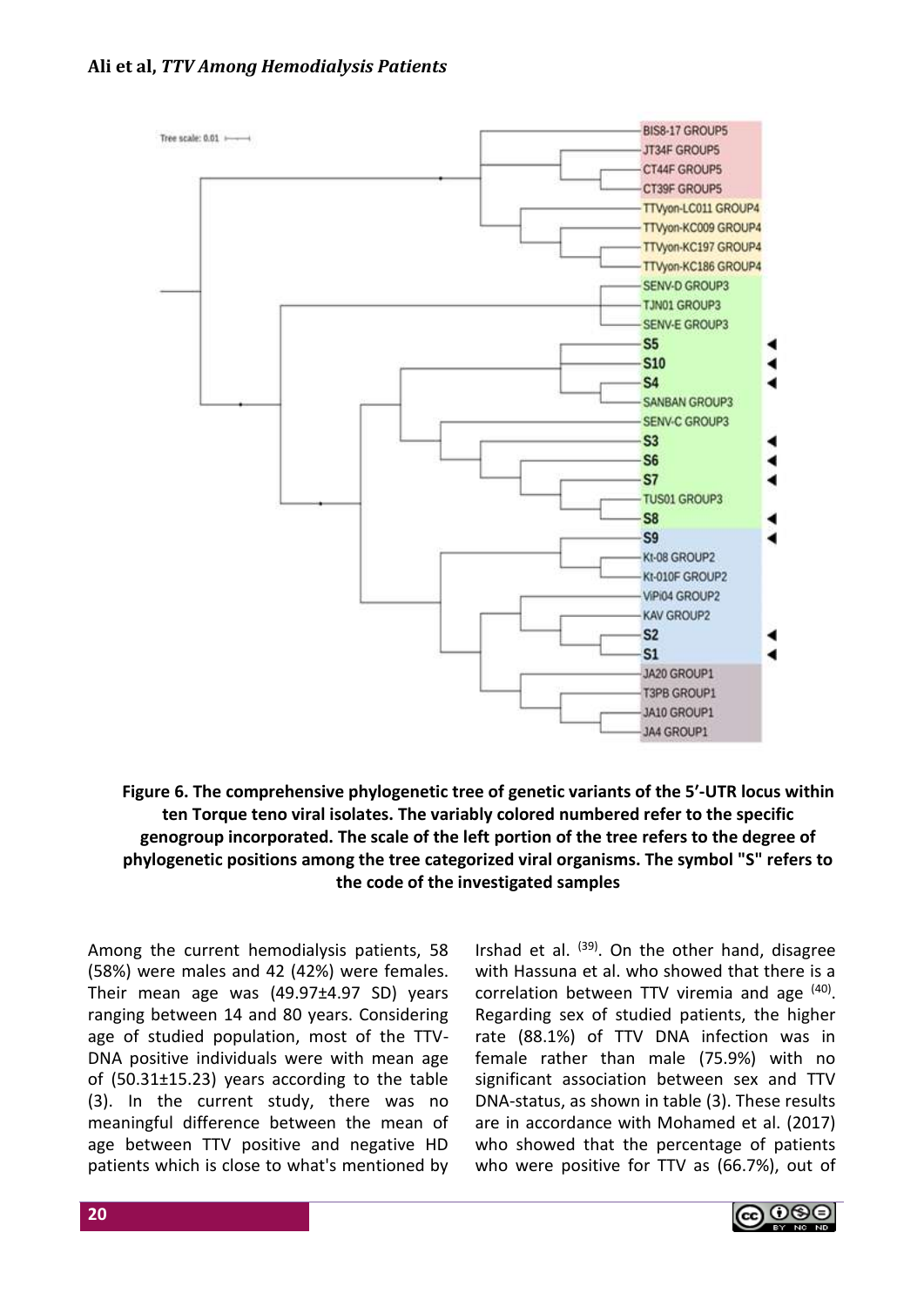## **Ali et al,** *TTV Among Hemodialysis Patients*



# **Figure 6. The comprehensive phylogenetic tree of genetic variants of the 5ʹ-UTR locus within ten Torque teno viral isolates. The variably colored numbered refer to the specific genogroup incorporated. The scale of the left portion of the tree refers to the degree of phylogenetic positions among the tree categorized viral organisms. The symbol "S" refers to the code of the investigated samples**

Among the current hemodialysis patients, 58 (58%) were males and 42 (42%) were females. Their mean age was (49.97±4.97 SD) years ranging between 14 and 80 years. Considering age of studied population, most of the TTV-DNA positive individuals were with mean age of (50.31±15.23) years according to the table (3). In the current study, there was no meaningful difference between the mean of age between TTV positive and negative HD patients which is close to what's mentioned by

Irshad et al. <sup>(39)</sup>. On the other hand, disagree with Hassuna et al. who showed that there is a correlation between TTV viremia and age (40). Regarding sex of studied patients, the higher rate (88.1%) of TTV DNA infection was in female rather than male (75.9%) with no significant association between sex and TTV DNA-status, as shown in table (3). These results are in accordance with Mohamed et al. (2017) who showed that the percentage of patients who were positive for TTV as (66.7%), out of

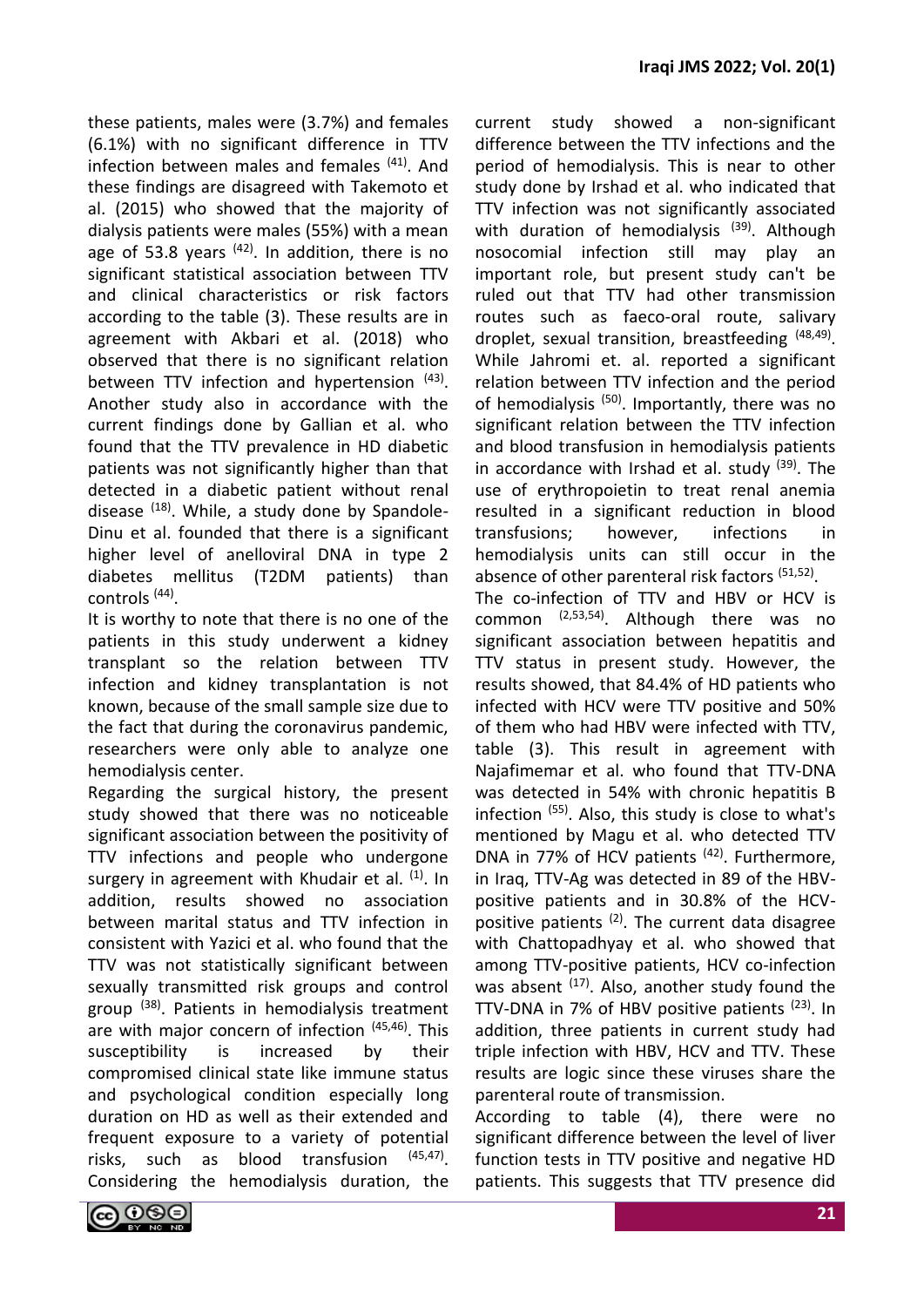current study showed a non-significant

these patients, males were (3.7%) and females (6.1%) with no significant difference in TTV infection between males and females <sup>(41)</sup>. And these findings are disagreed with Takemoto et al. (2015) who showed that the majority of dialysis patients were males (55%) with a mean age of 53.8 years  $(42)$ . In addition, there is no significant statistical association between TTV and clinical characteristics or risk factors according to the table (3). These results are in agreement with Akbari et al. (2018) who observed that there is no significant relation between TTV infection and hypertension (43). Another study also in accordance with the current findings done by Gallian et al. who found that the TTV prevalence in HD diabetic patients was not significantly higher than that detected in a diabetic patient without renal disease (18). While, a study done by Spandole-Dinu et al. founded that there is a significant higher level of anelloviral DNA in type 2 diabetes mellitus (T2DM patients) than controls (44) .

It is worthy to note that there is no one of the patients in this study underwent a kidney transplant so the relation between TTV infection and kidney transplantation is not known, because of the small sample size due to the fact that during the coronavirus pandemic, researchers were only able to analyze one hemodialysis center.

Regarding the surgical history, the present study showed that there was no noticeable significant association between the positivity of TTV infections and people who undergone surgery in agreement with Khudair et al.  $(1)$ . In addition, results showed no association between marital status and TTV infection in consistent with Yazici et al. who found that the TTV was not statistically significant between sexually transmitted risk groups and control group <sup>(38)</sup>. Patients in hemodialysis treatment are with major concern of infection (45,46). This susceptibility is increased by their compromised clinical state like immune status and psychological condition especially long duration on HD as well as their extended and frequent exposure to a variety of potential risks, such as blood transfusion  $(45, 47)$ Considering the hemodialysis duration, the

difference between the TTV infections and the period of hemodialysis. This is near to other study done by Irshad et al. who indicated that TTV infection was not significantly associated with duration of hemodialysis<sup>(39)</sup>. Although nosocomial infection still may play an important role, but present study can't be ruled out that TTV had other transmission routes such as faeco-oral route, salivary droplet, sexual transition, breastfeeding (48,49). While Jahromi et. al. reported a significant relation between TTV infection and the period of hemodialysis<sup>(50)</sup>. Importantly, there was no significant relation between the TTV infection and blood transfusion in hemodialysis patients in accordance with Irshad et al. study <sup>(39)</sup>. The use of erythropoietin to treat renal anemia resulted in a significant reduction in blood transfusions; however, infections in hemodialysis units can still occur in the absence of other parenteral risk factors (51,52). The co-infection of TTV and HBV or HCV is common  $(2,53,54)$ . Although there was no significant association between hepatitis and TTV status in present study. However, the results showed, that 84.4% of HD patients who infected with HCV were TTV positive and 50% of them who had HBV were infected with TTV, table (3). This result in agreement with Najafimemar et al. who found that TTV-DNA was detected in 54% with chronic hepatitis B infection (55) . Also, this study is close to what's mentioned by Magu et al. who detected TTV DNA in 77% of HCV patients <sup>(42)</sup>. Furthermore, in Iraq, TTV-Ag was detected in 89 of the HBVpositive patients and in 30.8% of the HCVpositive patients  $(2)$ . The current data disagree with Chattopadhyay et al. who showed that among TTV-positive patients, HCV co-infection was absent  $(17)$ . Also, another study found the TTV-DNA in 7% of HBV positive patients  $(23)$ . In addition, three patients in current study had triple infection with HBV, HCV and TTV. These results are logic since these viruses share the

According to table (4), there were no significant difference between the level of liver function tests in TTV positive and negative HD patients. This suggests that TTV presence did

parenteral route of transmission.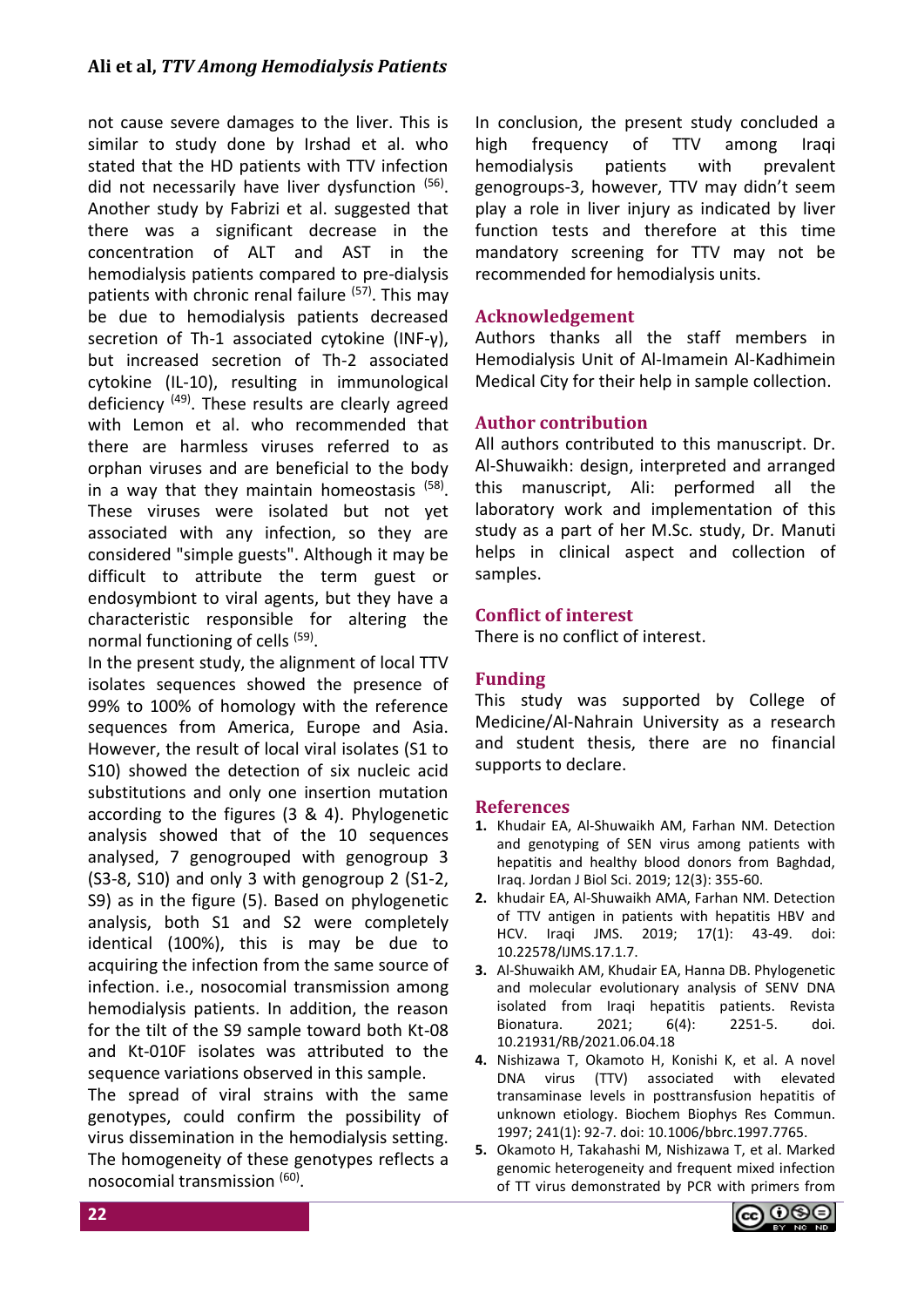# **Ali et al,** *TTV Among Hemodialysis Patients*

not cause severe damages to the liver. This is similar to study done by Irshad et al. who stated that the HD patients with TTV infection did not necessarily have liver dysfunction (56). Another study by Fabrizi et al. suggested that there was a significant decrease in the concentration of ALT and AST in the hemodialysis patients compared to pre-dialysis patients with chronic renal failure <sup>(57)</sup>. This may be due to hemodialysis patients decreased secretion of Th-1 associated cytokine (INF-γ), but increased secretion of Th-2 associated cytokine (IL-10), resulting in immunological deficiency <sup>(49)</sup>. These results are clearly agreed with Lemon et al. who recommended that there are harmless viruses referred to as orphan viruses and are beneficial to the body in a way that they maintain homeostasis <sup>(58)</sup>. These viruses were isolated but not yet associated with any infection, so they are considered "simple guests". Although it may be difficult to attribute the term guest or endosymbiont to viral agents, but they have a characteristic responsible for altering the normal functioning of cells <sup>(59)</sup>.

In the present study, the alignment of local TTV isolates sequences showed the presence of 99% to 100% of homology with the reference sequences from America, Europe and Asia. However, the result of local viral isolates (S1 to S10) showed the detection of six nucleic acid substitutions and only one insertion mutation according to the figures (3 & 4). Phylogenetic analysis showed that of the 10 sequences analysed, 7 genogrouped with genogroup 3 (S3-8, S10) and only 3 with genogroup 2 (S1-2, S9) as in the figure (5). Based on phylogenetic analysis, both S1 and S2 were completely identical (100%), this is may be due to acquiring the infection from the same source of infection. i.e., nosocomial transmission among hemodialysis patients. In addition, the reason for the tilt of the S9 sample toward both Kt-08 and Kt-010F isolates was attributed to the sequence variations observed in this sample.

The spread of viral strains with the same genotypes, could confirm the possibility of virus dissemination in the hemodialysis setting. The homogeneity of these genotypes reflects a nosocomial transmission (60).

In conclusion, the present study concluded a high frequency of TTV among Iraqi hemodialysis patients with prevalent genogroups-3, however, TTV may didn't seem play a role in liver injury as indicated by liver function tests and therefore at this time mandatory screening for TTV may not be recommended for hemodialysis units.

# **Acknowledgement**

Authors thanks all the staff members in Hemodialysis Unit of Al-Imamein Al-Kadhimein Medical City for their help in sample collection.

# **Author contribution**

All authors contributed to this manuscript. Dr. Al-Shuwaikh: design, interpreted and arranged this manuscript, Ali: performed all the laboratory work and implementation of this study as a part of her M.Sc. study, Dr. Manuti helps in clinical aspect and collection of samples.

# **Conflict of interest**

There is no conflict of interest.

## **Funding**

This study was supported by College of Medicine/Al-Nahrain University as a research and student thesis, there are no financial supports to declare.

## **References**

- **1.** Khudair EA, Al-Shuwaikh AM, Farhan NM. Detection and genotyping of SEN virus among patients with hepatitis and healthy blood donors from Baghdad, Iraq. Jordan J Biol Sci. 2019; 12(3): 355-60.
- **2.** khudair EA, Al-Shuwaikh AMA, Farhan NM. Detection of TTV antigen in patients with hepatitis HBV and HCV. Iraqi JMS. 2019; 17(1): 43-49. doi: 10.22578/IJMS.17.1.7.
- **3.** Al-Shuwaikh AM, Khudair EA, Hanna DB. Phylogenetic and molecular evolutionary analysis of SENV DNA isolated from Iraqi hepatitis patients. Revista Bionatura. 2021; 6(4): 2251-5. doi. 10.21931/RB/2021.06.04.18
- **4.** Nishizawa T, Okamoto H, Konishi K, et al. A novel DNA virus (TTV) associated with elevated transaminase levels in posttransfusion hepatitis of unknown etiology. Biochem Biophys Res Commun. 1997; 241(1): 92-7. doi: 10.1006/bbrc.1997.7765.
- **5.** Okamoto H, Takahashi M, Nishizawa T, et al. Marked genomic heterogeneity and frequent mixed infection of TT virus demonstrated by PCR with primers from

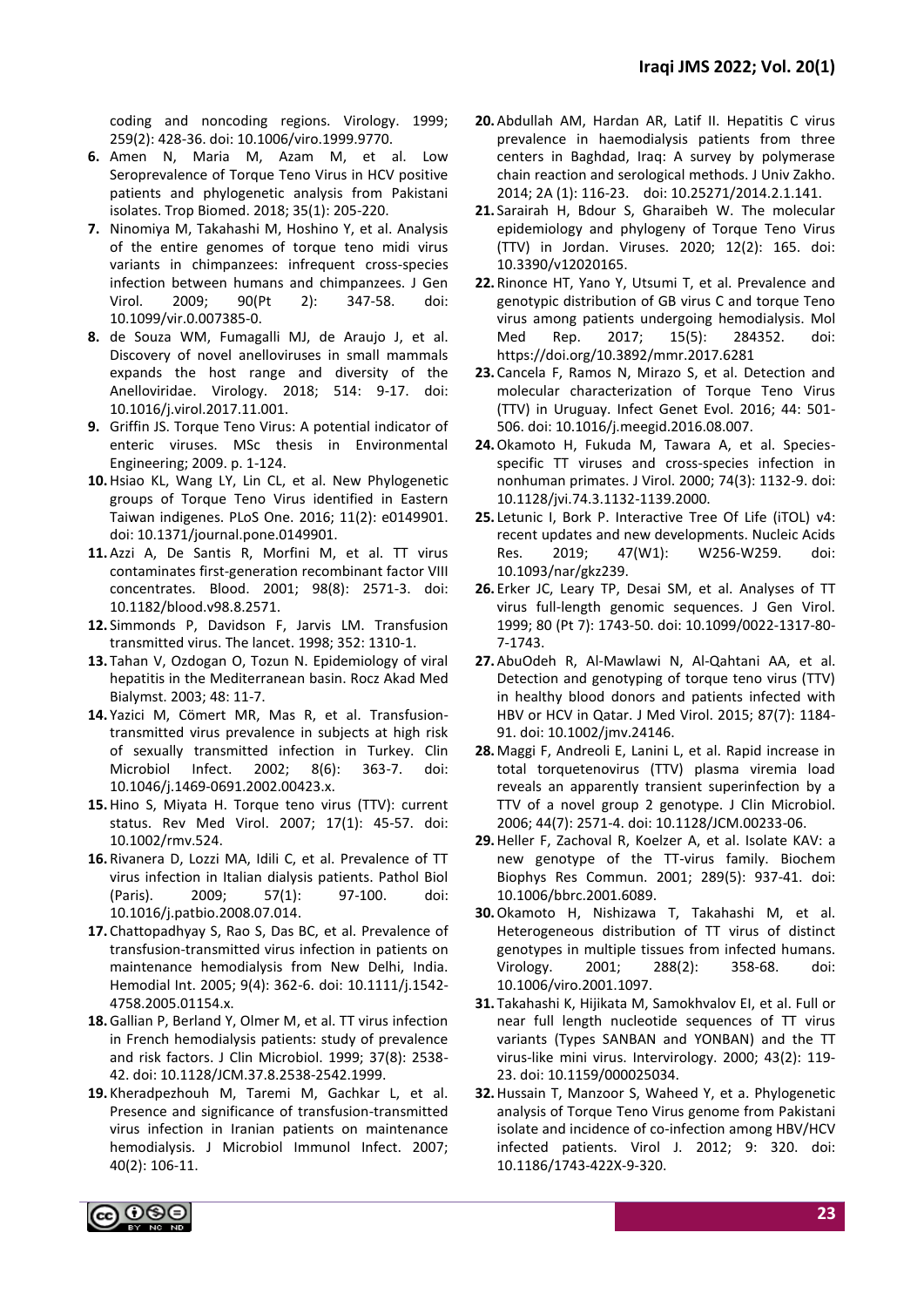coding and noncoding regions. Virology. 1999; 259(2): 428-36. doi: 10.1006/viro.1999.9770.

- **6.** Amen N, Maria M, Azam M, et al. Low Seroprevalence of Torque Teno Virus in HCV positive patients and phylogenetic analysis from Pakistani isolates. Trop Biomed. 2018; 35(1): 205-220.
- **7.** Ninomiya M, Takahashi M, Hoshino Y, et al. Analysis of the entire genomes of torque teno midi virus variants in chimpanzees: infrequent cross-species infection between humans and chimpanzees. J Gen Virol. 2009; 90(Pt 2): 347-58. doi: 10.1099/vir.0.007385-0.
- **8.** de Souza WM, Fumagalli MJ, de Araujo J, et al. Discovery of novel anelloviruses in small mammals expands the host range and diversity of the Anelloviridae. Virology. 2018; 514: 9-17. doi: 10.1016/j.virol.2017.11.001.
- **9.** Griffin JS. Torque Teno Virus: A potential indicator of enteric viruses. MSc thesis in Environmental Engineering; 2009. p. 1-124.
- **10.**Hsiao KL, Wang LY, Lin CL, et al. New Phylogenetic groups of Torque Teno Virus identified in Eastern Taiwan indigenes. PLoS One. 2016; 11(2): e0149901. doi: 10.1371/journal.pone.0149901.
- **11.**Azzi A, De Santis R, Morfini M, et al. TT virus contaminates first-generation recombinant factor VIII concentrates. Blood. 2001; 98(8): 2571-3. doi: 10.1182/blood.v98.8.2571.
- **12.** Simmonds P, Davidson F, Jarvis LM. Transfusion transmitted virus. The lancet. 1998; 352: 1310-1.
- **13.** Tahan V, Ozdogan O, Tozun N. Epidemiology of viral hepatitis in the Mediterranean basin. Rocz Akad Med Bialymst. 2003; 48: 11-7.
- **14.** Yazici M, Cömert MR, Mas R, et al. Transfusiontransmitted virus prevalence in subjects at high risk of sexually transmitted infection in Turkey. Clin Microbiol Infect. 2002; 8(6): 363-7. doi: 10.1046/j.1469-0691.2002.00423.x.
- **15.**Hino S, Miyata H. Torque teno virus (TTV): current status. Rev Med Virol. 2007; 17(1): 45-57. doi: 10.1002/rmv.524.
- **16.** Rivanera D, Lozzi MA, Idili C, et al. Prevalence of TT virus infection in Italian dialysis patients. Pathol Biol (Paris). 2009; 57(1): 97-100. doi: 10.1016/j.patbio.2008.07.014.
- **17.** Chattopadhyay S, Rao S, Das BC, et al. Prevalence of transfusion-transmitted virus infection in patients on maintenance hemodialysis from New Delhi, India. Hemodial Int. 2005; 9(4): 362-6. doi: 10.1111/j.1542- 4758.2005.01154.x.
- **18.**Gallian P, Berland Y, Olmer M, et al. TT virus infection in French hemodialysis patients: study of prevalence and risk factors. J Clin Microbiol. 1999; 37(8): 2538- 42. doi: 10.1128/JCM.37.8.2538-2542.1999.
- **19.** Kheradpezhouh M, Taremi M, Gachkar L, et al. Presence and significance of transfusion-transmitted virus infection in Iranian patients on maintenance hemodialysis. J Microbiol Immunol Infect. 2007; 40(2): 106-11.
- **20.**Abdullah AM, Hardan AR, Latif II. Hepatitis C virus prevalence in haemodialysis patients from three centers in Baghdad, Iraq: A survey by polymerase chain reaction and serological methods. J Univ Zakho. 2014; 2A (1): 116-23. doi: 10.25271/2014.2.1.141.
- **21.** Sarairah H, Bdour S, Gharaibeh W. The molecular epidemiology and phylogeny of Torque Teno Virus (TTV) in Jordan. Viruses. 2020; 12(2): 165. doi: 10.3390/v12020165.
- **22.** Rinonce HT, Yano Y, Utsumi T, et al. Prevalence and genotypic distribution of GB virus C and torque Teno virus among patients undergoing hemodialysis. Mol Med Rep. 2017; 15(5): 284352. doi: https://doi.org/10.3892/mmr.2017.6281
- **23.** Cancela F, Ramos N, Mirazo S, et al. Detection and molecular characterization of Torque Teno Virus (TTV) in Uruguay. Infect Genet Evol. 2016; 44: 501- 506. doi: 10.1016/j.meegid.2016.08.007.
- **24.**Okamoto H, Fukuda M, Tawara A, et al. Speciesspecific TT viruses and cross-species infection in nonhuman primates. J Virol. 2000; 74(3): 1132-9. doi: 10.1128/jvi.74.3.1132-1139.2000.
- **25.** Letunic I, Bork P. Interactive Tree Of Life (iTOL) v4: recent updates and new developments. Nucleic Acids Res. 2019; 47(W1): W256-W259. doi: 10.1093/nar/gkz239.
- **26.** Erker JC, Leary TP, Desai SM, et al. Analyses of TT virus full-length genomic sequences. J Gen Virol. 1999; 80 (Pt 7): 1743-50. doi: 10.1099/0022-1317-80- 7-1743.
- **27.**AbuOdeh R, Al-Mawlawi N, Al-Qahtani AA, et al. Detection and genotyping of torque teno virus (TTV) in healthy blood donors and patients infected with HBV or HCV in Qatar. J Med Virol. 2015; 87(7): 1184- 91. doi: 10.1002/jmv.24146.
- **28.** Maggi F, Andreoli E, Lanini L, et al. Rapid increase in total torquetenovirus (TTV) plasma viremia load reveals an apparently transient superinfection by a TTV of a novel group 2 genotype. J Clin Microbiol. 2006; 44(7): 2571-4. doi: 10.1128/JCM.00233-06.
- **29.**Heller F, Zachoval R, Koelzer A, et al. Isolate KAV: a new genotype of the TT-virus family. Biochem Biophys Res Commun. 2001; 289(5): 937-41. doi: 10.1006/bbrc.2001.6089.
- **30.**Okamoto H, Nishizawa T, Takahashi M, et al. Heterogeneous distribution of TT virus of distinct genotypes in multiple tissues from infected humans. Virology. 2001; 288(2): 358-68. doi: 10.1006/viro.2001.1097.
- **31.** Takahashi K, Hijikata M, Samokhvalov EI, et al. Full or near full length nucleotide sequences of TT virus variants (Types SANBAN and YONBAN) and the TT virus-like mini virus. Intervirology. 2000; 43(2): 119- 23. doi: 10.1159/000025034.
- **32.**Hussain T, Manzoor S, Waheed Y, et a. Phylogenetic analysis of Torque Teno Virus genome from Pakistani isolate and incidence of co-infection among HBV/HCV infected patients. Virol J. 2012; 9: 320. doi: 10.1186/1743-422X-9-320.

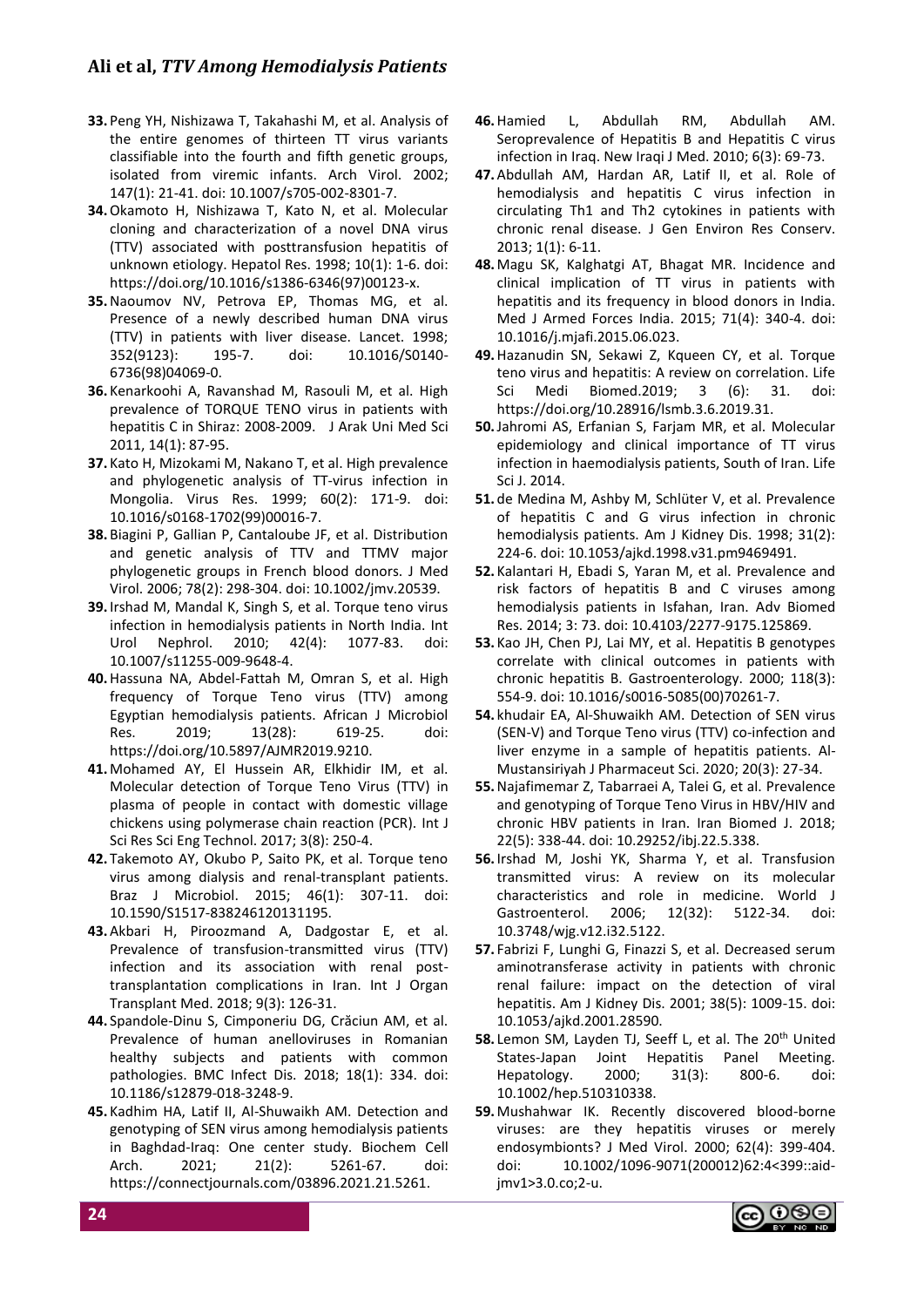- **33.** Peng YH, Nishizawa T, Takahashi M, et al. Analysis of the entire genomes of thirteen TT virus variants classifiable into the fourth and fifth genetic groups, isolated from viremic infants. Arch Virol. 2002; 147(1): 21-41. doi: 10.1007/s705-002-8301-7.
- **34.**Okamoto H, Nishizawa T, Kato N, et al. Molecular cloning and characterization of a novel DNA virus (TTV) associated with posttransfusion hepatitis of unknown etiology. Hepatol Res. 1998; 10(1): 1-6. doi: https://doi.org/10.1016/s1386-6346(97)00123-x.
- **35.**Naoumov NV, Petrova EP, Thomas MG, et al. Presence of a newly described human DNA virus (TTV) in patients with liver disease. Lancet. 1998; 352(9123): 195-7. doi: 10.1016/S0140- 6736(98)04069-0.
- **36.** Kenarkoohi A, Ravanshad M, Rasouli M, et al. High prevalence of TORQUE TENO virus in patients with hepatitis C in Shiraz: 2008-2009. J Arak Uni Med Sci 2011, 14(1): 87-95.
- **37.** Kato H, Mizokami M, Nakano T, et al. High prevalence and phylogenetic analysis of TT-virus infection in Mongolia. Virus Res. 1999; 60(2): 171-9. doi: 10.1016/s0168-1702(99)00016-7.
- **38.** Biagini P, Gallian P, Cantaloube JF, et al. Distribution and genetic analysis of TTV and TTMV major phylogenetic groups in French blood donors. J Med Virol. 2006; 78(2): 298-304. doi: 10.1002/jmv.20539.
- **39.** Irshad M, Mandal K, Singh S, et al. Torque teno virus infection in hemodialysis patients in North India. Int Urol Nephrol. 2010; 42(4): 1077-83. doi: 10.1007/s11255-009-9648-4.
- **40.**Hassuna NA, Abdel-Fattah M, Omran S, et al. High frequency of Torque Teno virus (TTV) among Egyptian hemodialysis patients. African J Microbiol Res. 2019; 13(28): 619-25. doi: https://doi.org/10.5897/AJMR2019.9210.
- **41.** Mohamed AY, El Hussein AR, Elkhidir IM, et al. Molecular detection of Torque Teno Virus (TTV) in plasma of people in contact with domestic village chickens using polymerase chain reaction (PCR). Int J Sci Res Sci Eng Technol. 2017; 3(8): 250-4.
- **42.** Takemoto AY, Okubo P, Saito PK, et al. Torque teno virus among dialysis and renal-transplant patients. Braz J Microbiol. 2015; 46(1): 307-11. doi: 10.1590/S1517-838246120131195.
- **43.**Akbari H, Piroozmand A, Dadgostar E, et al. Prevalence of transfusion-transmitted virus (TTV) infection and its association with renal posttransplantation complications in Iran. Int J Organ Transplant Med. 2018; 9(3): 126-31.
- **44.** Spandole-Dinu S, Cimponeriu DG, Crăciun AM, et al. Prevalence of human anelloviruses in Romanian healthy subjects and patients with common pathologies. BMC Infect Dis. 2018; 18(1): 334. doi: 10.1186/s12879-018-3248-9.
- **45.** Kadhim HA, Latif II, Al-Shuwaikh AM. Detection and genotyping of SEN virus among hemodialysis patients in Baghdad-Iraq: One center study. Biochem Cell Arch. 2021; 21(2): 5261-67. doi: https://connectjournals.com/03896.2021.21.5261.
- **46.**Hamied L, Abdullah RM, Abdullah AM. Seroprevalence of Hepatitis B and Hepatitis C virus infection in Iraq. New Iraqi J Med. 2010; 6(3): 69-73.
- **47.**Abdullah AM, Hardan AR, Latif II, et al. Role of hemodialysis and hepatitis C virus infection in circulating Th1 and Th2 cytokines in patients with chronic renal disease. J Gen Environ Res Conserv. 2013; 1(1): 6-11.
- **48.** Magu SK, Kalghatgi AT, Bhagat MR. Incidence and clinical implication of TT virus in patients with hepatitis and its frequency in blood donors in India. Med J Armed Forces India. 2015; 71(4): 340-4. doi: 10.1016/j.mjafi.2015.06.023.
- **49.**Hazanudin SN, Sekawi Z, Kqueen CY, et al. Torque teno virus and hepatitis: A review on correlation. Life Sci Medi Biomed.2019; 3 (6): 31. doi: https://doi.org/10.28916/lsmb.3.6.2019.31.
- **50.**Jahromi AS, Erfanian S, Farjam MR, et al. Molecular epidemiology and clinical importance of TT virus infection in haemodialysis patients, South of Iran. Life Sci J. 2014.
- **51.** de Medina M, Ashby M, Schlüter V, et al. Prevalence of hepatitis C and G virus infection in chronic hemodialysis patients. Am J Kidney Dis. 1998; 31(2): 224-6. doi: 10.1053/ajkd.1998.v31.pm9469491.
- **52.** Kalantari H, Ebadi S, Yaran M, et al. Prevalence and risk factors of hepatitis B and C viruses among hemodialysis patients in Isfahan, Iran. Adv Biomed Res. 2014; 3: 73. doi: 10.4103/2277-9175.125869.
- **53.** Kao JH, Chen PJ, Lai MY, et al. Hepatitis B genotypes correlate with clinical outcomes in patients with chronic hepatitis B. Gastroenterology. 2000; 118(3): 554-9. doi: 10.1016/s0016-5085(00)70261-7.
- **54.** khudair EA, Al-Shuwaikh AM. Detection of SEN virus (SEN-V) and Torque Teno virus (TTV) co-infection and liver enzyme in a sample of hepatitis patients. Al-Mustansiriyah J Pharmaceut Sci. 2020; 20(3): 27-34.
- **55.**Najafimemar Z, Tabarraei A, Talei G, et al. Prevalence and genotyping of Torque Teno Virus in HBV/HIV and chronic HBV patients in Iran. Iran Biomed J. 2018; 22(5): 338-44. doi: 10.29252/ibj.22.5.338.
- **56.** Irshad M, Joshi YK, Sharma Y, et al. Transfusion transmitted virus: A review on its molecular characteristics and role in medicine. World J Gastroenterol. 2006; 12(32): 5122-34. doi: 10.3748/wjg.v12.i32.5122.
- **57.** Fabrizi F, Lunghi G, Finazzi S, et al. Decreased serum aminotransferase activity in patients with chronic renal failure: impact on the detection of viral hepatitis. Am J Kidney Dis. 2001; 38(5): 1009-15. doi: 10.1053/ajkd.2001.28590.
- 58. Lemon SM, Layden TJ, Seeff L, et al. The 20<sup>th</sup> United States-Japan Joint Hepatitis Panel Meeting. Hepatology. 2000; 31(3): 800-6. doi: 10.1002/hep.510310338.
- **59.** Mushahwar IK. Recently discovered blood-borne viruses: are they hepatitis viruses or merely endosymbionts? J Med Virol. 2000; 62(4): 399-404. doi: 10.1002/1096-9071(200012)62:4<399::aidjmv1>3.0.co;2-u.